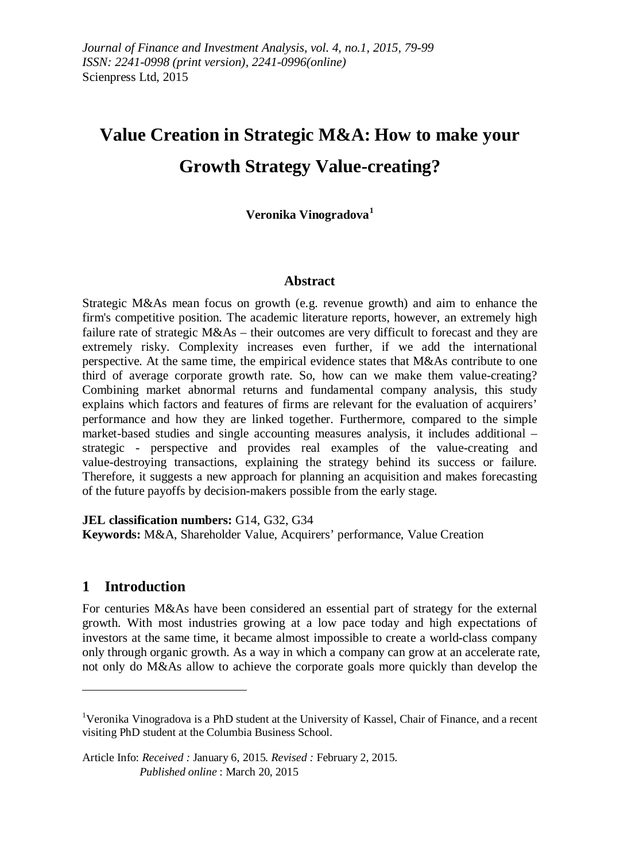# **Value Creation in Strategic M&A: How to make your Growth Strategy Value-creating?**

**Veronika Vinogradova[1](#page-0-0)**

## **Abstract**

Strategic M&As mean focus on growth (e.g. revenue growth) and aim to enhance the firm's competitive position. The academic literature reports, however, an extremely high failure rate of strategic M&As – their outcomes are very difficult to forecast and they are extremely risky. Complexity increases even further, if we add the international perspective. At the same time, the empirical evidence states that M&As contribute to one third of average corporate growth rate. So, how can we make them value-creating? Combining market abnormal returns and fundamental company analysis, this study explains which factors and features of firms are relevant for the evaluation of acquirers' performance and how they are linked together. Furthermore, compared to the simple market-based studies and single accounting measures analysis, it includes additional – strategic - perspective and provides real examples of the value-creating and value-destroying transactions, explaining the strategy behind its success or failure. Therefore, it suggests a new approach for planning an acquisition and makes forecasting of the future payoffs by decision-makers possible from the early stage.

**JEL classification numbers:** G14, G32, G34 **Keywords:** M&A, Shareholder Value, Acquirers' performance, Value Creation

## **1 Introduction**

 $\overline{a}$ 

For centuries M&As have been considered an essential part of strategy for the external growth. With most industries growing at a low pace today and high expectations of investors at the same time, it became almost impossible to create a world-class company only through organic growth. As a way in which a company can grow at an accelerate rate, not only do M&As allow to achieve the corporate goals more quickly than develop the

<span id="page-0-0"></span><sup>&</sup>lt;sup>1</sup>Veronika Vinogradova is a PhD student at the University of Kassel, Chair of Finance, and a recent visiting PhD student at the Columbia Business School.

Article Info: *Received :* January 6, 2015*. Revised :* February 2, 2015.  *Published online* : March 20, 2015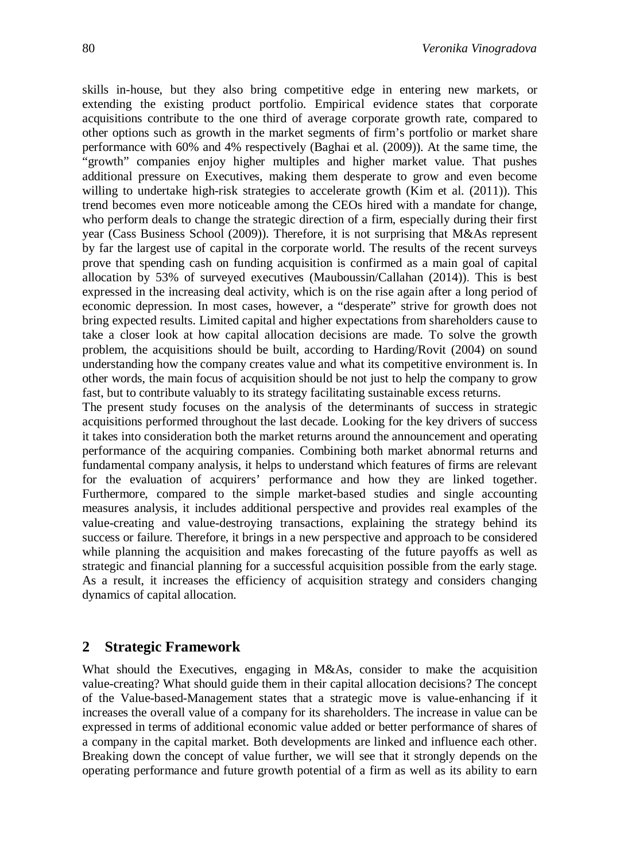skills in-house, but they also bring competitive edge in entering new markets, or extending the existing product portfolio. Empirical evidence states that corporate acquisitions contribute to the one third of average corporate growth rate, compared to other options such as growth in the market segments of firm's portfolio or market share performance with 60% and 4% respectively (Baghai et al. (2009)). At the same time, the "growth" companies enjoy higher multiples and higher market value. That pushes additional pressure on Executives, making them desperate to grow and even become willing to undertake high-risk strategies to accelerate growth (Kim et al. (2011)). This trend becomes even more noticeable among the CEOs hired with a mandate for change, who perform deals to change the strategic direction of a firm, especially during their first year (Cass Business School (2009)). Therefore, it is not surprising that M&As represent by far the largest use of capital in the corporate world. The results of the recent surveys prove that spending cash on funding acquisition is confirmed as a main goal of capital allocation by 53% of surveyed executives (Mauboussin/Callahan (2014)). This is best expressed in the increasing deal activity, which is on the rise again after a long period of economic depression. In most cases, however, a "desperate" strive for growth does not bring expected results. Limited capital and higher expectations from shareholders cause to take a closer look at how capital allocation decisions are made. To solve the growth problem, the acquisitions should be built, according to Harding/Rovit (2004) on sound understanding how the company creates value and what its competitive environment is. In other words, the main focus of acquisition should be not just to help the company to grow fast, but to contribute valuably to its strategy facilitating sustainable excess returns.

The present study focuses on the analysis of the determinants of success in strategic acquisitions performed throughout the last decade. Looking for the key drivers of success it takes into consideration both the market returns around the announcement and operating performance of the acquiring companies. Combining both market abnormal returns and fundamental company analysis, it helps to understand which features of firms are relevant for the evaluation of acquirers' performance and how they are linked together. Furthermore, compared to the simple market-based studies and single accounting measures analysis, it includes additional perspective and provides real examples of the value-creating and value-destroying transactions, explaining the strategy behind its success or failure. Therefore, it brings in a new perspective and approach to be considered while planning the acquisition and makes forecasting of the future payoffs as well as strategic and financial planning for a successful acquisition possible from the early stage. As a result, it increases the efficiency of acquisition strategy and considers changing dynamics of capital allocation.

## **2 Strategic Framework**

What should the Executives, engaging in M&As, consider to make the acquisition value-creating? What should guide them in their capital allocation decisions? The concept of the Value-based-Management states that a strategic move is value-enhancing if it increases the overall value of a company for its shareholders. The increase in value can be expressed in terms of additional economic value added or better performance of shares of a company in the capital market. Both developments are linked and influence each other. Breaking down the concept of value further, we will see that it strongly depends on the operating performance and future growth potential of a firm as well as its ability to earn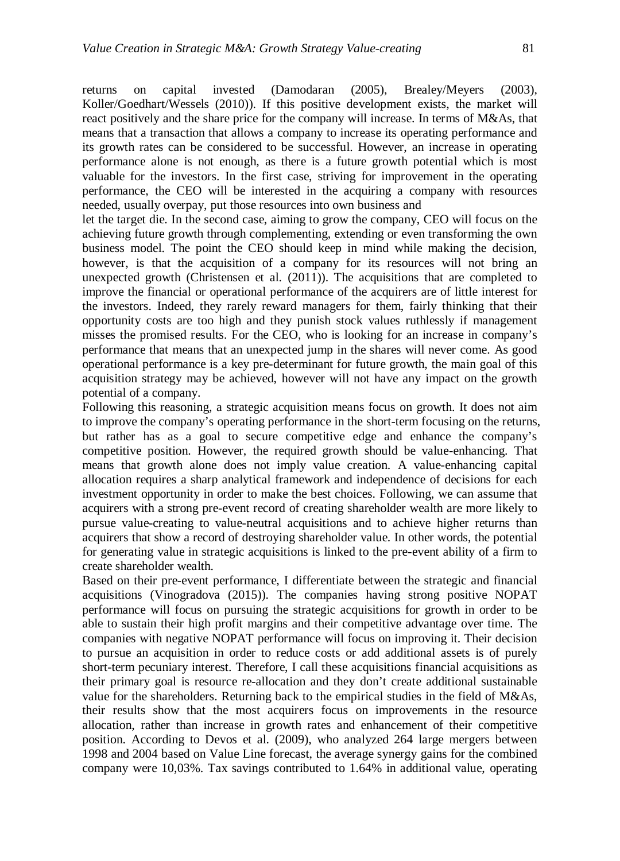returns on capital invested (Damodaran (2005), Brealey/Meyers (2003), Koller/Goedhart/Wessels (2010)). If this positive development exists, the market will react positively and the share price for the company will increase. In terms of M&As, that means that a transaction that allows a company to increase its operating performance and its growth rates can be considered to be successful. However, an increase in operating performance alone is not enough, as there is a future growth potential which is most valuable for the investors. In the first case, striving for improvement in the operating performance, the CEO will be interested in the acquiring a company with resources needed, usually overpay, put those resources into own business and

let the target die. In the second case, aiming to grow the company, CEO will focus on the achieving future growth through complementing, extending or even transforming the own business model. The point the CEO should keep in mind while making the decision, however, is that the acquisition of a company for its resources will not bring an unexpected growth (Christensen et al. (2011)). The acquisitions that are completed to improve the financial or operational performance of the acquirers are of little interest for the investors. Indeed, they rarely reward managers for them, fairly thinking that their opportunity costs are too high and they punish stock values ruthlessly if management misses the promised results. For the CEO, who is looking for an increase in company's performance that means that an unexpected jump in the shares will never come. As good operational performance is a key pre-determinant for future growth, the main goal of this acquisition strategy may be achieved, however will not have any impact on the growth potential of a company.

Following this reasoning, a strategic acquisition means focus on growth. It does not aim to improve the company's operating performance in the short-term focusing on the returns, but rather has as a goal to secure competitive edge and enhance the company's competitive position. However, the required growth should be value-enhancing. That means that growth alone does not imply value creation. A value-enhancing capital allocation requires a sharp analytical framework and independence of decisions for each investment opportunity in order to make the best choices. Following, we can assume that acquirers with a strong pre-event record of creating shareholder wealth are more likely to pursue value-creating to value-neutral acquisitions and to achieve higher returns than acquirers that show a record of destroying shareholder value. In other words, the potential for generating value in strategic acquisitions is linked to the pre-event ability of a firm to create shareholder wealth.

Based on their pre-event performance, I differentiate between the strategic and financial acquisitions (Vinogradova (2015)). The companies having strong positive NOPAT performance will focus on pursuing the strategic acquisitions for growth in order to be able to sustain their high profit margins and their competitive advantage over time. The companies with negative NOPAT performance will focus on improving it. Their decision to pursue an acquisition in order to reduce costs or add additional assets is of purely short-term pecuniary interest. Therefore, I call these acquisitions financial acquisitions as their primary goal is resource re-allocation and they don't create additional sustainable value for the shareholders. Returning back to the empirical studies in the field of M&As, their results show that the most acquirers focus on improvements in the resource allocation, rather than increase in growth rates and enhancement of their competitive position. According to Devos et al. (2009), who analyzed 264 large mergers between 1998 and 2004 based on Value Line forecast, the average synergy gains for the combined company were 10,03%. Tax savings contributed to 1.64% in additional value, operating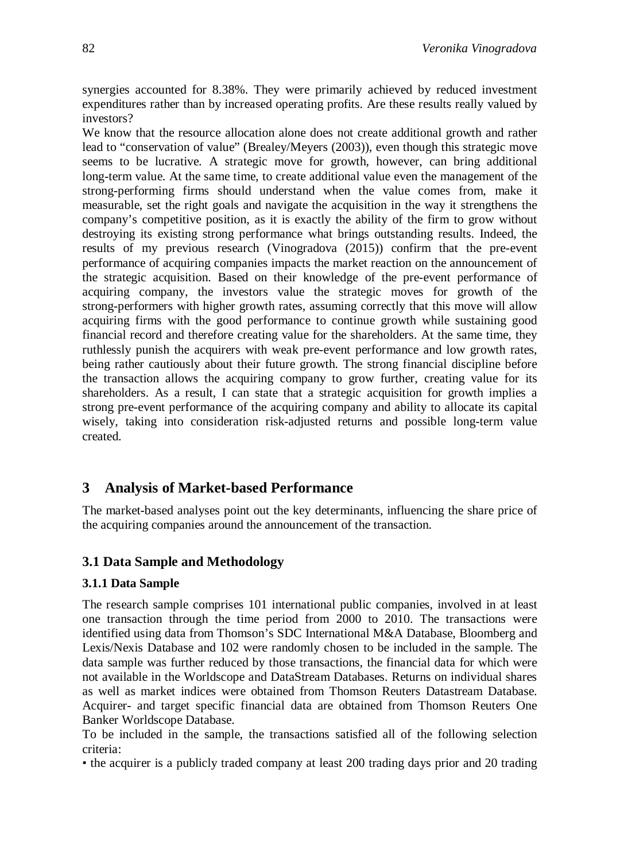synergies accounted for 8.38%. They were primarily achieved by reduced investment expenditures rather than by increased operating profits. Are these results really valued by investors?

We know that the resource allocation alone does not create additional growth and rather lead to "conservation of value" (Brealey/Meyers (2003)), even though this strategic move seems to be lucrative. A strategic move for growth, however, can bring additional long-term value. At the same time, to create additional value even the management of the strong-performing firms should understand when the value comes from, make it measurable, set the right goals and navigate the acquisition in the way it strengthens the company's competitive position, as it is exactly the ability of the firm to grow without destroying its existing strong performance what brings outstanding results. Indeed, the results of my previous research (Vinogradova (2015)) confirm that the pre-event performance of acquiring companies impacts the market reaction on the announcement of the strategic acquisition. Based on their knowledge of the pre-event performance of acquiring company, the investors value the strategic moves for growth of the strong-performers with higher growth rates, assuming correctly that this move will allow acquiring firms with the good performance to continue growth while sustaining good financial record and therefore creating value for the shareholders. At the same time, they ruthlessly punish the acquirers with weak pre-event performance and low growth rates, being rather cautiously about their future growth. The strong financial discipline before the transaction allows the acquiring company to grow further, creating value for its shareholders. As a result, I can state that a strategic acquisition for growth implies a strong pre-event performance of the acquiring company and ability to allocate its capital wisely, taking into consideration risk-adjusted returns and possible long-term value created.

## **3 Analysis of Market-based Performance**

The market-based analyses point out the key determinants, influencing the share price of the acquiring companies around the announcement of the transaction.

## **3.1 Data Sample and Methodology**

### **3.1.1 Data Sample**

The research sample comprises 101 international public companies, involved in at least one transaction through the time period from 2000 to 2010. The transactions were identified using data from Thomson's SDC International M&A Database, Bloomberg and Lexis/Nexis Database and 102 were randomly chosen to be included in the sample. The data sample was further reduced by those transactions, the financial data for which were not available in the Worldscope and DataStream Databases. Returns on individual shares as well as market indices were obtained from Thomson Reuters Datastream Database. Acquirer- and target specific financial data are obtained from Thomson Reuters One Banker Worldscope Database.

To be included in the sample, the transactions satisfied all of the following selection criteria:

• the acquirer is a publicly traded company at least 200 trading days prior and 20 trading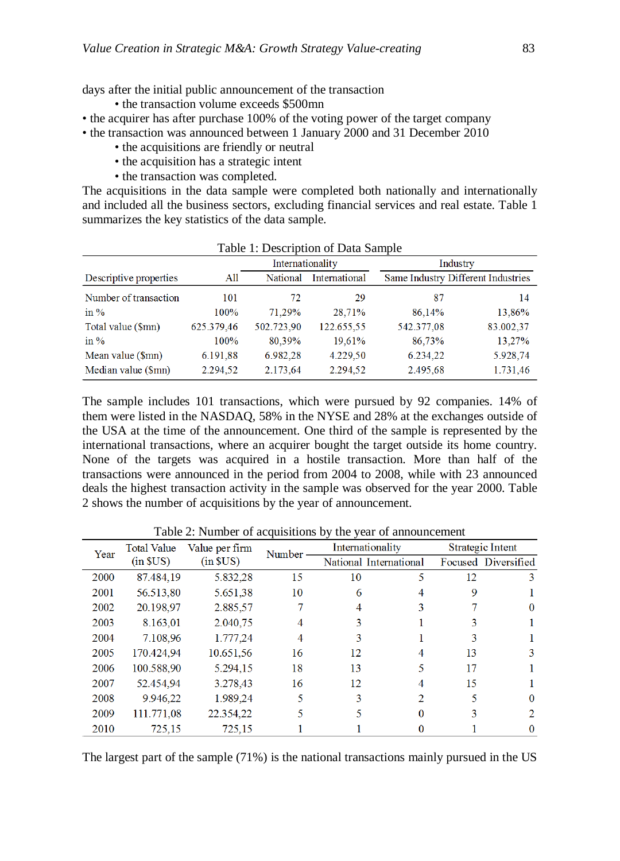days after the initial public announcement of the transaction

- the transaction volume exceeds \$500mn
- the acquirer has after purchase 100% of the voting power of the target company
- the transaction was announced between 1 January 2000 and 31 December 2010
	- the acquisitions are friendly or neutral
	- the acquisition has a strategic intent
	- the transaction was completed.

The acquisitions in the data sample were completed both nationally and internationally and included all the business sectors, excluding financial services and real estate. Table 1 summarizes the key statistics of the data sample.

| Table 1: Description of Data Sample |            |                  |               |            |                                    |  |  |  |  |  |
|-------------------------------------|------------|------------------|---------------|------------|------------------------------------|--|--|--|--|--|
|                                     |            | Internationality |               |            | Industry                           |  |  |  |  |  |
| Descriptive properties              | All        | National         | International |            | Same Industry Different Industries |  |  |  |  |  |
| Number of transaction               | 101        | 72               | 29            | 87         | 14                                 |  |  |  |  |  |
| in $%$                              | 100%       | 71.29%           | 28,71%        | 86,14%     | 13,86%                             |  |  |  |  |  |
| Total value (\$mn)                  | 625.379,46 | 502.723,90       | 122.655,55    | 542.377,08 | 83.002,37                          |  |  |  |  |  |
| in $%$                              | 100%       | 80,39%           | 19,61%        | 86,73%     | 13,27%                             |  |  |  |  |  |
| Mean value (\$mn)                   | 6.191,88   | 6.982,28         | 4.229,50      | 6.234,22   | 5.928,74                           |  |  |  |  |  |
| Median value (\$mn)                 | 2.294,52   | 2.173,64         | 2.294,52      | 2.495,68   | 1.731,46                           |  |  |  |  |  |

The sample includes 101 transactions, which were pursued by 92 companies. 14% of them were listed in the NASDAQ, 58% in the NYSE and 28% at the exchanges outside of the USA at the time of the announcement. One third of the sample is represented by the international transactions, where an acquirer bought the target outside its home country. None of the targets was acquired in a hostile transaction. More than half of the transactions were announced in the period from 2004 to 2008, while with 23 announced deals the highest transaction activity in the sample was observed for the year 2000. Table 2 shows the number of acquisitions by the year of announcement.

|      | <b>Total Value</b><br>Value per firm<br>Year |                  | Number |    | Internationality       | Strategic Intent |                     |  |
|------|----------------------------------------------|------------------|--------|----|------------------------|------------------|---------------------|--|
|      | $(in$ $SUS)$                                 | (in <b>SUS</b> ) |        |    | National International |                  | Focused Diversified |  |
| 2000 | 87.484,19                                    | 5.832,28         | 15     | 10 | 5                      | 12               | 3                   |  |
| 2001 | 56.513,80                                    | 5.651,38         | 10     | 6  | 4                      | 9                |                     |  |
| 2002 | 20.198,97                                    | 2.885,57         |        | 4  | 3                      |                  | $\Omega$            |  |
| 2003 | 8.163,01                                     | 2.040,75         | 4      | 3  |                        | 3                |                     |  |
| 2004 | 7.108.96                                     | 1.777,24         | 4      | 3  |                        | 3                |                     |  |
| 2005 | 170.424,94                                   | 10.651,56        | 16     | 12 |                        | 13               | 3                   |  |
| 2006 | 100.588,90                                   | 5.294,15         | 18     | 13 |                        | 17               |                     |  |
| 2007 | 52.454,94                                    | 3.278.43         | 16     | 12 |                        | 15               |                     |  |
| 2008 | 9.946,22                                     | 1.989,24         |        | 3  | 2                      |                  | 0                   |  |
| 2009 | 111.771.08                                   | 22.354,22        |        |    | 0                      | 3                | 2                   |  |
| 2010 | 725.15                                       | 725.15           |        |    |                        |                  | 0                   |  |

Table 2: Number of acquisitions by the year of announcement

The largest part of the sample (71%) is the national transactions mainly pursued in the US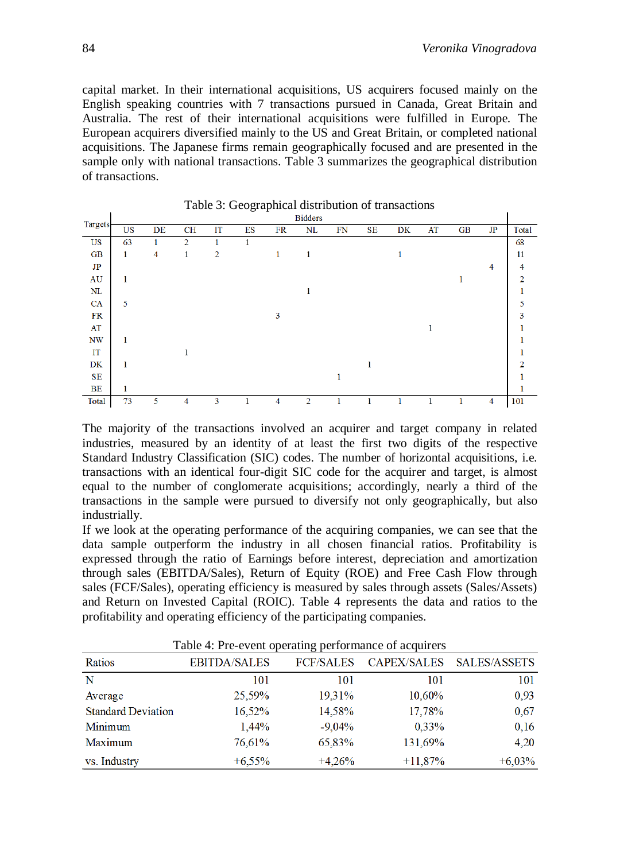capital market. In their international acquisitions, US acquirers focused mainly on the English speaking countries with 7 transactions pursued in Canada, Great Britain and Australia. The rest of their international acquisitions were fulfilled in Europe. The European acquirers diversified mainly to the US and Great Britain, or completed national acquisitions. The Japanese firms remain geographically focused and are presented in the sample only with national transactions. Table 3 summarizes the geographical distribution of transactions.

|                        | raone 5: Seographical distribution of transactions |    |                |    |    |    |                |    |    |    |    |           |                |       |
|------------------------|----------------------------------------------------|----|----------------|----|----|----|----------------|----|----|----|----|-----------|----------------|-------|
|                        |                                                    |    |                |    |    |    | <b>Bidders</b> |    |    |    |    |           |                |       |
| Targets                | US                                                 | DE | CH             | IT | ES | FR | NL             | FN | SE | DK | AT | <b>GB</b> | JP             | Total |
| US                     | 63                                                 |    | $\overline{2}$ |    |    |    |                |    |    |    |    |           |                | 68    |
| <b>GB</b>              | $\mathbf{1}$                                       | 4  | 1              | 2  |    |    |                |    |    |    |    |           |                | 11    |
| JP                     |                                                    |    |                |    |    |    |                |    |    |    |    |           | 4              | 4     |
| AU                     |                                                    |    |                |    |    |    |                |    |    |    |    |           |                |       |
| NL                     |                                                    |    |                |    |    |    |                |    |    |    |    |           |                |       |
| CA                     | 5                                                  |    |                |    |    |    |                |    |    |    |    |           |                |       |
| FR                     |                                                    |    |                |    |    | 3  |                |    |    |    |    |           |                | 3     |
| AT                     |                                                    |    |                |    |    |    |                |    |    |    |    |           |                |       |
| $\mathbf{N}\mathbf{W}$ |                                                    |    |                |    |    |    |                |    |    |    |    |           |                |       |
| IT                     |                                                    |    |                |    |    |    |                |    |    |    |    |           |                |       |
| DK                     |                                                    |    |                |    |    |    |                |    |    |    |    |           |                |       |
| SE                     |                                                    |    |                |    |    |    |                |    |    |    |    |           |                |       |
| BE                     |                                                    |    |                |    |    |    |                |    |    |    |    |           |                |       |
| Total                  | 73                                                 | 5  | 4              | 3  |    | 4  | $\overline{2}$ | п  |    |    |    |           | $\overline{4}$ | 101   |

Table 3: Geographical distribution of transactions

The majority of the transactions involved an acquirer and target company in related industries, measured by an identity of at least the first two digits of the respective Standard Industry Classification (SIC) codes. The number of horizontal acquisitions, i.e. transactions with an identical four-digit SIC code for the acquirer and target, is almost equal to the number of conglomerate acquisitions; accordingly, nearly a third of the transactions in the sample were pursued to diversify not only geographically, but also industrially.

If we look at the operating performance of the acquiring companies, we can see that the data sample outperform the industry in all chosen financial ratios. Profitability is expressed through the ratio of Earnings before interest, depreciation and amortization through sales (EBITDA/Sales), Return of Equity (ROE) and Free Cash Flow through sales (FCF/Sales), operating efficiency is measured by sales through assets (Sales/Assets) and Return on Invested Capital (ROIC). Table 4 represents the data and ratios to the profitability and operating efficiency of the participating companies.

| Table 4: Pre-event operating performance of acquirers |                     |                  |                    |              |  |  |  |  |  |  |  |
|-------------------------------------------------------|---------------------|------------------|--------------------|--------------|--|--|--|--|--|--|--|
| Ratios                                                | <b>EBITDA/SALES</b> | <b>FCF/SALES</b> | <b>CAPEX/SALES</b> | SALES/ASSETS |  |  |  |  |  |  |  |
| N                                                     | 101                 | 101              | 101                | 101          |  |  |  |  |  |  |  |
| Average                                               | 25,59%              | 19,31%           | 10,60%             | 0,93         |  |  |  |  |  |  |  |
| <b>Standard Deviation</b>                             | 16,52%              | 14,58%           | 17,78%             | 0,67         |  |  |  |  |  |  |  |
| Minimum                                               | 1,44%               | $-9,04%$         | 0,33%              | 0.16         |  |  |  |  |  |  |  |
| Maximum                                               | 76,61%              | 65,83%           | 131,69%            | 4.20         |  |  |  |  |  |  |  |
| vs. Industry                                          | $+6.55\%$           | $+4.26%$         | $+11,87%$          | $+6,03%$     |  |  |  |  |  |  |  |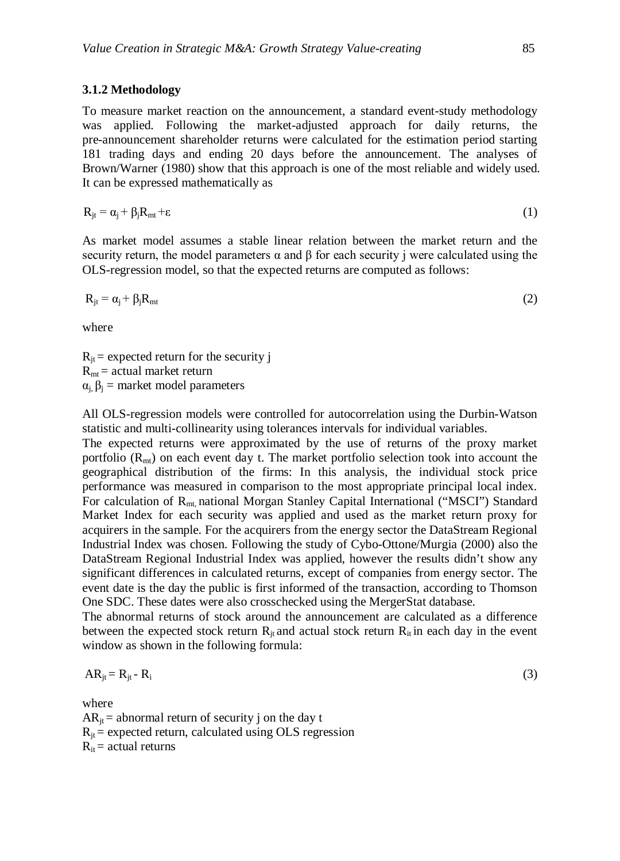#### **3.1.2 Methodology**

To measure market reaction on the announcement, a standard event-study methodology was applied. Following the market-adjusted approach for daily returns, the pre-announcement shareholder returns were calculated for the estimation period starting 181 trading days and ending 20 days before the announcement. The analyses of Brown/Warner (1980) show that this approach is one of the most reliable and widely used. It can be expressed mathematically as

$$
R_{jt} = \alpha_j + \beta_j R_{mt} + \varepsilon \tag{1}
$$

As market model assumes a stable linear relation between the market return and the security return, the model parameters  $\alpha$  and  $\beta$  for each security j were calculated using the OLS-regression model, so that the expected returns are computed as follows:

$$
R_{jt} = \alpha_j + \beta_j R_{mt} \tag{2}
$$

where

 $R_{it}$  = expected return for the security j  $R<sub>mt</sub>$  = actual market return  $\alpha_i$ ,  $\beta_i$  = market model parameters

All OLS-regression models were controlled for autocorrelation using the Durbin-Watson statistic and multi-collinearity using tolerances intervals for individual variables.

The expected returns were approximated by the use of returns of the proxy market portfolio  $(R<sub>mt</sub>)$  on each event day t. The market portfolio selection took into account the geographical distribution of the firms: In this analysis, the individual stock price performance was measured in comparison to the most appropriate principal local index. For calculation of R<sub>mt</sub> national Morgan Stanley Capital International ("MSCI") Standard Market Index for each security was applied and used as the market return proxy for acquirers in the sample. For the acquirers from the energy sector the DataStream Regional Industrial Index was chosen. Following the study of Cybo-Ottone/Murgia (2000) also the DataStream Regional Industrial Index was applied, however the results didn't show any significant differences in calculated returns, except of companies from energy sector. The event date is the day the public is first informed of the transaction, according to Thomson One SDC. These dates were also crosschecked using the MergerStat database.

The abnormal returns of stock around the announcement are calculated as a difference between the expected stock return  $R_{it}$  and actual stock return  $R_{it}$  in each day in the event window as shown in the following formula:

$$
AR_{jt} = R_{jt} - R_i
$$
 (3)

where

 $AR_{it}$  = abnormal return of security j on the day t  $R_{it}$  = expected return, calculated using OLS regression  $R_{it}$  = actual returns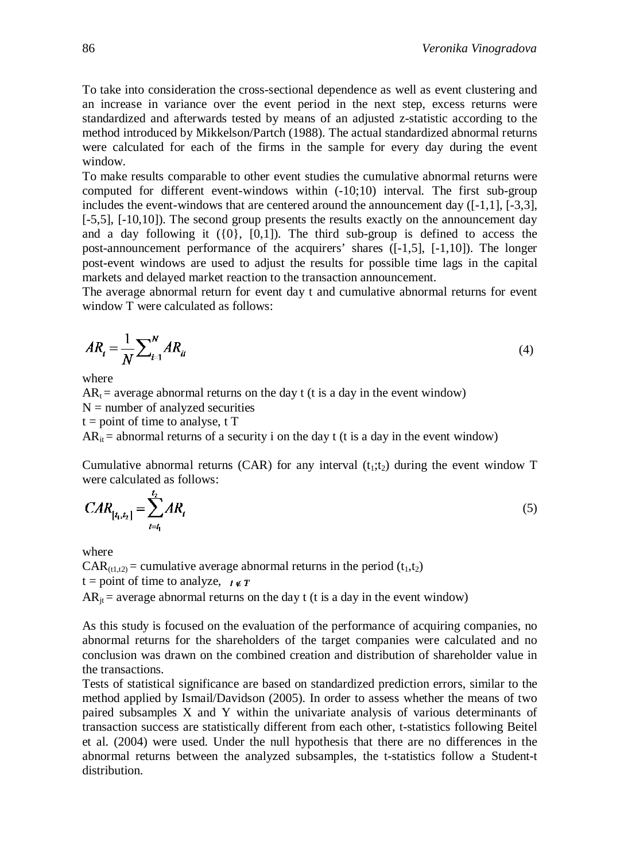To take into consideration the cross-sectional dependence as well as event clustering and an increase in variance over the event period in the next step, excess returns were standardized and afterwards tested by means of an adjusted z-statistic according to the method introduced by Mikkelson/Partch (1988). The actual standardized abnormal returns were calculated for each of the firms in the sample for every day during the event window.

To make results comparable to other event studies the cumulative abnormal returns were computed for different event-windows within (-10;10) interval*.* The first sub-group includes the event-windows that are centered around the announcement day ([-1,1], [-3,3], [-5,5], [-10,10]). The second group presents the results exactly on the announcement day and a day following it  $({0}, [0, 1])$ . The third sub-group is defined to access the post-announcement performance of the acquirers' shares ([-1,5], [-1,10]). The longer post-event windows are used to adjust the results for possible time lags in the capital markets and delayed market reaction to the transaction announcement.

The average abnormal return for event day t and cumulative abnormal returns for event window T were calculated as follows:

$$
AR_t = \frac{1}{N} \sum_{i=1}^{N} AR_{it}
$$
\n<sup>(4)</sup>

where

 $AR_t$  = average abnormal returns on the day t (t is a day in the event window)

 $N =$  number of analyzed securities  $t = point$  of time to analyse, t T

 $AR_{it}$  = abnormal returns of a security i on the day t (t is a day in the event window)

Cumulative abnormal returns (CAR) for any interval  $(t_1;t_2)$  during the event window T were calculated as follows:

$$
CAR_{[t_1, t_2]} = \sum_{t=t_1}^{t_2} AR_t
$$
 (5)

where

 $CAR_{(t1,t2)} =$  cumulative average abnormal returns in the period  $(t_1,t_2)$ t = point of time to analyze,  $t \notin T$  $AR_{it}$  = average abnormal returns on the day t (t is a day in the event window)

As this study is focused on the evaluation of the performance of acquiring companies, no abnormal returns for the shareholders of the target companies were calculated and no conclusion was drawn on the combined creation and distribution of shareholder value in the transactions.

Tests of statistical significance are based on standardized prediction errors, similar to the method applied by Ismail/Davidson (2005). In order to assess whether the means of two paired subsamples X and Y within the univariate analysis of various determinants of transaction success are statistically different from each other, t-statistics following Beitel et al. (2004) were used. Under the null hypothesis that there are no differences in the abnormal returns between the analyzed subsamples, the t-statistics follow a Student-t distribution.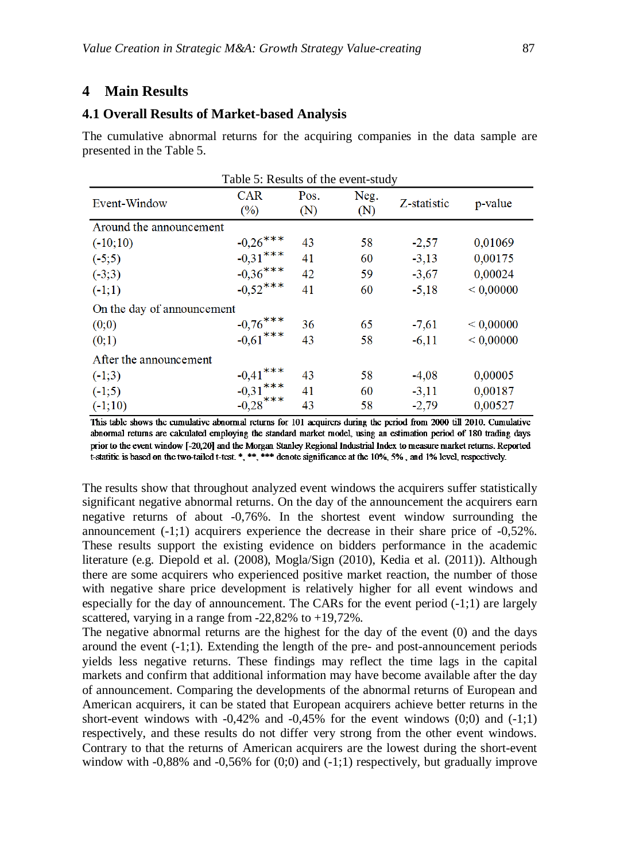## **4 Main Results**

#### **4.1 Overall Results of Market-based Analysis**

The cumulative abnormal returns for the acquiring companies in the data sample are presented in the Table 5.

|                            | Table 5: Results of the event-study    |      |      |             |           |
|----------------------------|----------------------------------------|------|------|-------------|-----------|
| Event-Window               | <b>CAR</b>                             | Pos. | Neg. | Z-statistic | p-value   |
|                            | (%)                                    | (N)  | (N)  |             |           |
| Around the announcement    |                                        |      |      |             |           |
| $(-10;10)$                 | $-0.26***$                             | 43   | 58   | $-2,57$     | 0,01069   |
| $(-5;5)$                   | $-0.31***$                             | 41   | 60   | $-3,13$     | 0,00175   |
| $(-3;3)$                   | $-0,36***$                             | 42   | 59   | $-3,67$     | 0,00024   |
| $(-1;1)$                   | $-0.52***$                             | 41   | 60   | $-5,18$     | < 0,00000 |
| On the day of announcement |                                        |      |      |             |           |
| (0;0)                      | $-0.76$ ***<br>$-0.61$ ***             | 36   | 65   | $-7,61$     | < 0,00000 |
| (0,1)                      |                                        | 43   | 58   | $-6,11$     | < 0,00000 |
| After the announcement     |                                        |      |      |             |           |
| $(-1;3)$                   | $-0.41***$<br>$-0.31***$<br>$-0.28***$ | 43   | 58   | $-4,08$     | 0,00005   |
| $(-1;5)$                   |                                        | 41   | 60   | $-3,11$     | 0,00187   |
| $(-1;10)$                  |                                        | 43   | 58   | $-2,79$     | 0,00527   |

This table shows the cumulative abnormal returns for 101 acquirers during the period from 2000 till 2010. Cumulative abnormal returns are calculated employing the standard market model, using an estimation period of 180 trading days prior to the event window [-20,20] and the Morgan Stanley Regional Industrial Index to measure market returns. Reported t-statitic is based on the two-tailed t-test. \*, \*\*\*, \*\*\* denote significance at the 10%, 5%, and 1% level, respectively.

The results show that throughout analyzed event windows the acquirers suffer statistically significant negative abnormal returns. On the day of the announcement the acquirers earn negative returns of about -0,76%. In the shortest event window surrounding the announcement  $(-1;1)$  acquirers experience the decrease in their share price of  $-0.52\%$ . These results support the existing evidence on bidders performance in the academic literature (e.g. Diepold et al. (2008), Mogla/Sign (2010), Kedia et al. (2011)). Although there are some acquirers who experienced positive market reaction, the number of those with negative share price development is relatively higher for all event windows and especially for the day of announcement. The CARs for the event period (-1;1) are largely scattered, varying in a range from -22,82% to +19,72%.

The negative abnormal returns are the highest for the day of the event (0) and the days around the event (-1;1). Extending the length of the pre- and post-announcement periods yields less negative returns. These findings may reflect the time lags in the capital markets and confirm that additional information may have become available after the day of announcement. Comparing the developments of the abnormal returns of European and American acquirers, it can be stated that European acquirers achieve better returns in the short-event windows with  $-0.42\%$  and  $-0.45\%$  for the event windows  $(0,0)$  and  $(-1,1)$ respectively, and these results do not differ very strong from the other event windows. Contrary to that the returns of American acquirers are the lowest during the short-event window with -0,88% and -0,56% for  $(0,0)$  and  $(-1,1)$  respectively, but gradually improve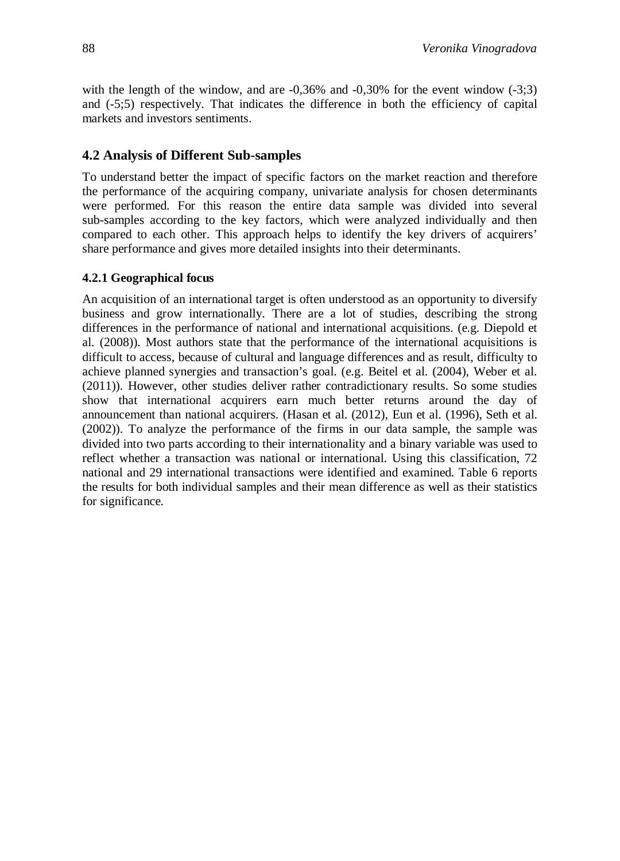with the length of the window, and are  $-0.36\%$  and  $-0.30\%$  for the event window  $(-3,3)$ and (-5;5) respectively. That indicates the difference in both the efficiency of capital markets and investors sentiments.

## **4.2 Analysis of Different Sub-samples**

To understand better the impact of specific factors on the market reaction and therefore the performance of the acquiring company, univariate analysis for chosen determinants were performed. For this reason the entire data sample was divided into several sub-samples according to the key factors, which were analyzed individually and then compared to each other. This approach helps to identify the key drivers of acquirers' share performance and gives more detailed insights into their determinants.

## **4.2.1 Geographical focus**

An acquisition of an international target is often understood as an opportunity to diversify business and grow internationally. There are a lot of studies, describing the strong differences in the performance of national and international acquisitions. (e.g. Diepold et al. (2008)). Most authors state that the performance of the international acquisitions is difficult to access, because of cultural and language differences and as result, difficulty to achieve planned synergies and transaction's goal. (e.g. Beitel et al. (2004), Weber et al. (2011)). However, other studies deliver rather contradictionary results. So some studies show that international acquirers earn much better returns around the day of announcement than national acquirers. (Hasan et al. (2012), Eun et al. (1996), Seth et al. (2002)). To analyze the performance of the firms in our data sample, the sample was divided into two parts according to their internationality and a binary variable was used to reflect whether a transaction was national or international. Using this classification, 72 national and 29 international transactions were identified and examined. Table 6 reports the results for both individual samples and their mean difference as well as their statistics for significance.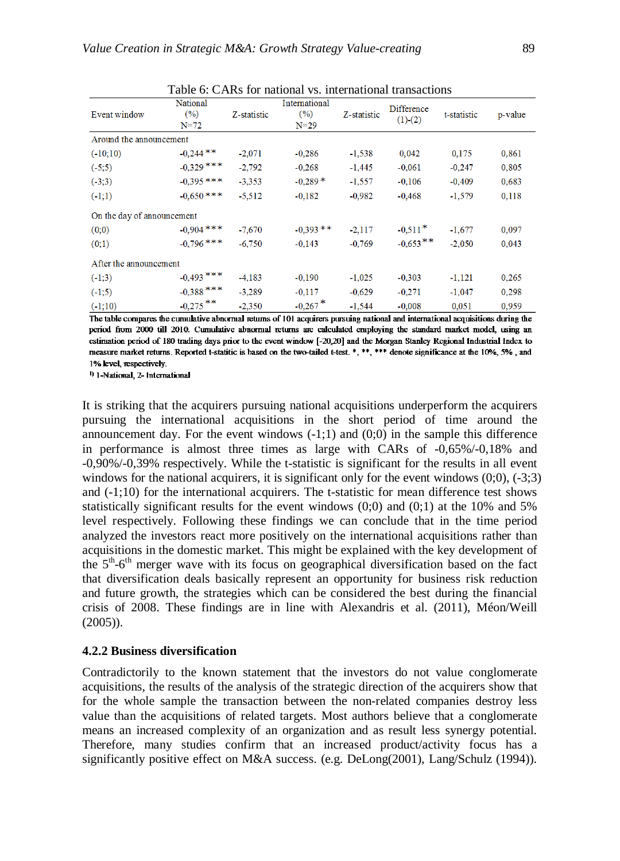| Event window               | National<br>(%)<br>$N = 72$ | Z-statistic | International<br>(9/6)<br>$N = 29$ | Z-statistic | <b>Difference</b><br>$(1)-(2)$ | t-statistic | p-value |
|----------------------------|-----------------------------|-------------|------------------------------------|-------------|--------------------------------|-------------|---------|
| Around the announcement    |                             |             |                                    |             |                                |             |         |
| $(-10;10)$                 | $-0,244$ **                 | $-2,071$    | $-0.286$                           | $-1.538$    | 0.042                          | 0.175       | 0.861   |
| $(-5;5)$                   | $-0,329$ ***                | $-2,792$    | $-0.268$                           | $-1,445$    | $-0.061$                       | $-0,247$    | 0,805   |
| $(-3,3)$                   | $-0.395$ ***                | $-3.353$    | $-0.289*$                          | $-1,557$    | $-0,106$                       | $-0.409$    | 0,683   |
| $(-1;1)$                   | $-0.650$ ***                | $-5.512$    | $-0.182$                           | $-0.982$    | $-0.468$                       | $-1,579$    | 0.118   |
| On the day of announcement |                             |             |                                    |             |                                |             |         |
| (0;0)                      | $-0,904$ ***                | $-7.670$    | $-0.393$ **                        | $-2,117$    | $-0,511*$                      | $-1,677$    | 0,097   |
| (0;1)                      | $-0,796$ ***                | $-6.750$    | $-0.143$                           | $-0.769$    | $-0,653**$                     | $-2,050$    | 0.043   |
| After the announcement     |                             |             |                                    |             |                                |             |         |
| $(-1,3)$                   | $-0,493$ ***                | $-4.183$    | $-0.190$                           | $-1,025$    | $-0.303$                       | $-1,121$    | 0,265   |
| $(-1;5)$                   | $-0,388$ ***                | $-3.289$    | $-0.117$                           | $-0.629$    | $-0.271$                       | $-1,047$    | 0.298   |
| $(-1;10)$                  | $-0,275$ **                 | $-2.350$    | $-0,267$ <sup>*</sup>              | $-1.544$    | $-0.008$                       | 0.051       | 0.959   |

Table 6: CARs for national vs. international transactions

The table compares the cumulative abnormal returns of 101 acquirers pursuing national and international acquisitions during the period from 2000 till 2010. Cumulative abnormal returns are calculated employing the standard market model, using an estimation period of 180 trading days prior to the event window [-20,20] and the Morgan Stanley Regional Industrial Index to measure market returns. Reported t-statitic is based on the two-tailed t-test. \*, \*\*, \*\*\* denote significance at the 10%, 5%, and 1% level, respectively.

1) 1-National, 2- International

It is striking that the acquirers pursuing national acquisitions underperform the acquirers pursuing the international acquisitions in the short period of time around the announcement day. For the event windows  $(-1,1)$  and  $(0,0)$  in the sample this difference in performance is almost three times as large with CARs of -0,65%/-0,18% and -0,90%/-0,39% respectively. While the t-statistic is significant for the results in all event windows for the national acquirers, it is significant only for the event windows  $(0,0)$ ,  $(-3,3)$ and  $(-1,10)$  for the international acquirers. The t-statistic for mean difference test shows statistically significant results for the event windows  $(0;0)$  and  $(0;1)$  at the 10% and 5% level respectively. Following these findings we can conclude that in the time period analyzed the investors react more positively on the international acquisitions rather than acquisitions in the domestic market. This might be explained with the key development of the  $5<sup>th</sup>$ -6<sup>th</sup> merger wave with its focus on geographical diversification based on the fact that diversification deals basically represent an opportunity for business risk reduction and future growth, the strategies which can be considered the best during the financial crisis of 2008. These findings are in line with Alexandris et al. (2011), Méon/Weill  $(2005)$ ).

#### **4.2.2 Business diversification**

Contradictorily to the known statement that the investors do not value conglomerate acquisitions, the results of the analysis of the strategic direction of the acquirers show that for the whole sample the transaction between the non-related companies destroy less value than the acquisitions of related targets. Most authors believe that a conglomerate means an increased complexity of an organization and as result less synergy potential. Therefore, many studies confirm that an increased product/activity focus has a significantly positive effect on M&A success. (e.g. DeLong(2001), Lang/Schulz (1994)).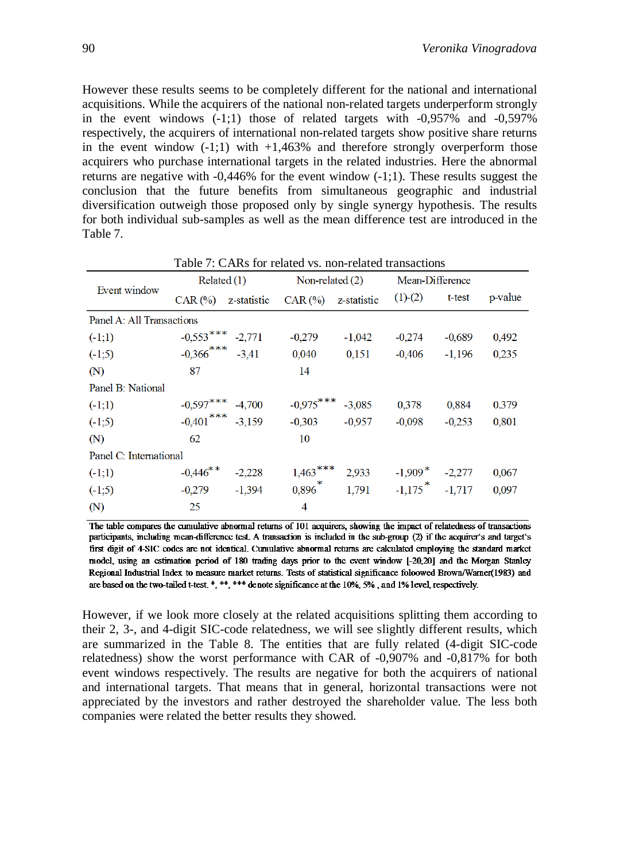However these results seems to be completely different for the national and international acquisitions. While the acquirers of the national non-related targets underperform strongly in the event windows  $(-1,1)$  those of related targets with  $-0.957\%$  and  $-0.597\%$ respectively, the acquirers of international non-related targets show positive share returns in the event window  $(-1,1)$  with  $+1,463\%$  and therefore strongly overperform those acquirers who purchase international targets in the related industries. Here the abnormal returns are negative with  $-0.446\%$  for the event window  $(-1,1)$ . These results suggest the conclusion that the future benefits from simultaneous geographic and industrial diversification outweigh those proposed only by single synergy hypothesis. The results for both individual sub-samples as well as the mean difference test are introduced in the Table 7.

|                           | Related $(1)$                    |             | Non-related (2)                  |             | Mean-Difference                |          |         |
|---------------------------|----------------------------------|-------------|----------------------------------|-------------|--------------------------------|----------|---------|
| Event window              | $CAR$ $\left(\frac{0}{0}\right)$ | z-statistic | $CAR$ $\left(\frac{9}{0}\right)$ | z-statistic | $(1)-(2)$                      | t-test   | p-value |
| Panel A: All Transactions |                                  |             |                                  |             |                                |          |         |
| $(-1;1)$                  | $-0,553***$ $-2,771$             |             | $-0,279$                         | $-1,042$    | $-0,274$                       | $-0.689$ | 0,492   |
| $(-1,5)$                  | $-0.366$ *** $-3.41$             |             | 0,040                            | 0,151       | $-0,406$                       | $-1,196$ | 0,235   |
| (N)                       | 87                               |             | 14                               |             |                                |          |         |
| Panel B: National         |                                  |             |                                  |             |                                |          |         |
| $(-1;1)$                  | $-0.597***$ $-4.700$             |             | $-0.975***$ $-3.085$             |             | 0,378                          | 0,884    | 0.379   |
| $(-1,5)$                  | $-0.401$ *** $-3.159$            |             | $-0,303$                         | $-0.957$    | $-0,098$                       | $-0.253$ | 0,801   |
| (N)                       | 62                               |             | 10                               |             |                                |          |         |
| Panel C: International    |                                  |             |                                  |             |                                |          |         |
| $(-1;1)$                  | $-0,446$ **                      | $-2,228$    | $1,463$ ***                      | 2,933       | $-1,909$ <sup>*</sup>          | $-2,277$ | 0,067   |
| $(-1,5)$                  | $-0,279$                         | $-1,394$    | $0,896$ <sup>*</sup>             | 1,791       | $-1,175$ <sup>*</sup> $-1,717$ |          | 0,097   |
| (N)                       | 25                               |             | 4                                |             |                                |          |         |

Table 7: CARs for related vs. non-related transactions

The table compares the cumulative abnormal returns of 101 acquirers, showing the impact of relatedness of transactions participants, including mean-difference test. A transaction is included in the sub-group (2) if the acquirer's and target's first digit of 4-SIC codes are not identical. Cumulative abnormal returns are calculated employing the standard market model, using an estimation period of 180 trading days prior to the event window [-20,20] and the Morgan Stanley Regional Industrial Index to measure market returns. Tests of statistical significance foloowed Brown/Warner(1983) and are based on the two-tailed t-test.  $*$ ,  $**$ ,  $***$  denote significance at the 10%, 5%, and 1% level, respectively.

However, if we look more closely at the related acquisitions splitting them according to their 2, 3-, and 4-digit SIC-code relatedness, we will see slightly different results, which are summarized in the Table 8. The entities that are fully related (4-digit SIC-code relatedness) show the worst performance with CAR of -0,907% and -0,817% for both event windows respectively. The results are negative for both the acquirers of national and international targets. That means that in general, horizontal transactions were not appreciated by the investors and rather destroyed the shareholder value. The less both companies were related the better results they showed.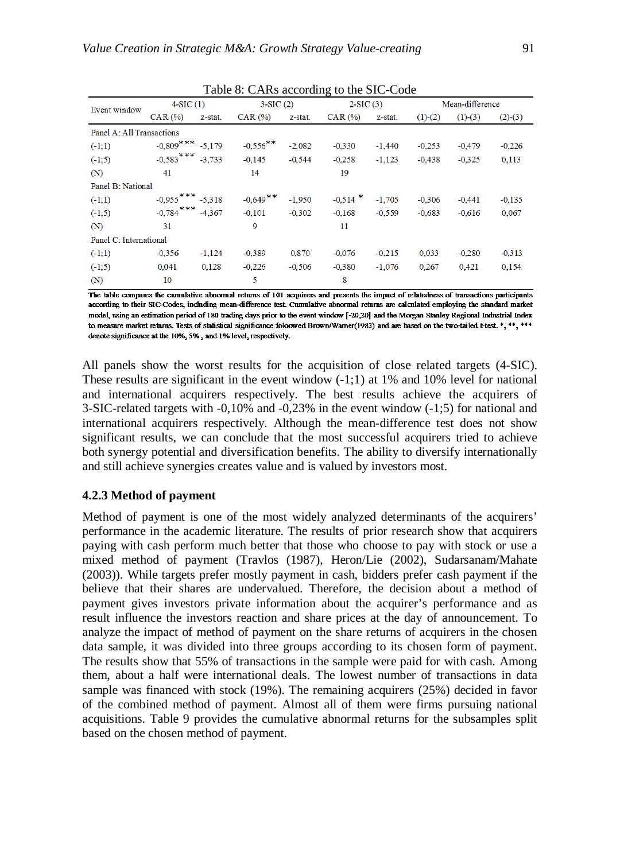|                           |                       |          | $14000$ of $1400$ according to the BIC Code |          |            |          |               |                 |             |
|---------------------------|-----------------------|----------|---------------------------------------------|----------|------------|----------|---------------|-----------------|-------------|
| Event window              | $4-SIC(1)$            |          | $3-SIC(2)$                                  |          | $2-SIC(3)$ |          |               | Mean-difference |             |
|                           | $CAR$ $%$             | z-stat.  | $CAR$ $%$                                   | z-stat.  | $CAR$ $%$  | z-stat.  | $(1)$ - $(2)$ | $(1)-(3)$       | $(2)$ $(3)$ |
| Panel A: All Transactions |                       |          |                                             |          |            |          |               |                 |             |
| $(-1;1)$                  | $-0.809$ *** $-5,179$ |          | $-0,556$ **                                 | $-2,082$ | $-0.330$   | $-1,440$ | $-0,253$      | $-0.479$        | $-0,226$    |
| $(-1;5)$                  | $-0,583$ ***          | $-3,733$ | $-0.145$                                    | $-0,544$ | $-0,258$   | $-1,123$ | $-0,438$      | $-0.325$        | 0,113       |
| (N)                       | 41                    |          | 14                                          |          | 19         |          |               |                 |             |
| Panel B: National         |                       |          |                                             |          |            |          |               |                 |             |
| $(-1;1)$                  | $-0.955***$ $-5.318$  |          | $-0,649$ **                                 | $-1,950$ | $-0,514$ * | $-1,705$ | $-0.306$      | $-0.441$        | $-0.135$    |
| $(-1;5)$                  | $-0,784$ ***          | $-4.367$ | $-0.101$                                    | $-0,302$ | $-0.168$   | $-0.559$ | $-0.683$      | $-0.616$        | 0.067       |
| (N)                       | 31                    |          | 9                                           |          | 11         |          |               |                 |             |
| Panel C: International    |                       |          |                                             |          |            |          |               |                 |             |
| $(-1;1)$                  | $-0.356$              | $-1,124$ | $-0.389$                                    | 0.870    | $-0.076$   | $-0,215$ | 0,033         | $-0.280$        | $-0.313$    |
| $(-1,5)$                  | 0.041                 | 0,128    | $-0.226$                                    | $-0.506$ | $-0.380$   | $-1.076$ | 0.267         | 0.421           | 0,154       |
| (N)                       | 10                    |          | 5                                           |          | 8          |          |               |                 |             |

Table 8: CARs according to the SIC-Code

The table compares the cumulative abnormal returns of 101 acquirers and presents the impact of relatedness of transactions participants according to their SIC-Codes, including mean-difference test. Cumulative abnormal returns are calculated employing the standard market model, using an estimation period of 180 trading days prior to the event window [-20,20] and the Morgan Stanley Regional Industrial Index to measure market returns. Tests of statistical significance foloowed Brown/Warner(1983) and are based on the two-tailed t-test. \*, \*\*, \*\*\* denote significance at the 10%, 5%, and 1% level, respectively.

All panels show the worst results for the acquisition of close related targets (4-SIC). These results are significant in the event window  $(-1,1)$  at 1% and 10% level for national and international acquirers respectively. The best results achieve the acquirers of 3-SIC-related targets with -0,10% and -0,23% in the event window (-1;5) for national and international acquirers respectively. Although the mean-difference test does not show significant results, we can conclude that the most successful acquirers tried to achieve both synergy potential and diversification benefits. The ability to diversify internationally and still achieve synergies creates value and is valued by investors most.

#### **4.2.3 Method of payment**

Method of payment is one of the most widely analyzed determinants of the acquirers' performance in the academic literature. The results of prior research show that acquirers paying with cash perform much better that those who choose to pay with stock or use a mixed method of payment (Travlos (1987), Heron/Lie (2002), Sudarsanam/Mahate (2003)). While targets prefer mostly payment in cash, bidders prefer cash payment if the believe that their shares are undervalued. Therefore, the decision about a method of payment gives investors private information about the acquirer's performance and as result influence the investors reaction and share prices at the day of announcement. To analyze the impact of method of payment on the share returns of acquirers in the chosen data sample, it was divided into three groups according to its chosen form of payment. The results show that 55% of transactions in the sample were paid for with cash. Among them, about a half were international deals. The lowest number of transactions in data sample was financed with stock (19%). The remaining acquirers (25%) decided in favor of the combined method of payment. Almost all of them were firms pursuing national acquisitions. Table 9 provides the cumulative abnormal returns for the subsamples split based on the chosen method of payment.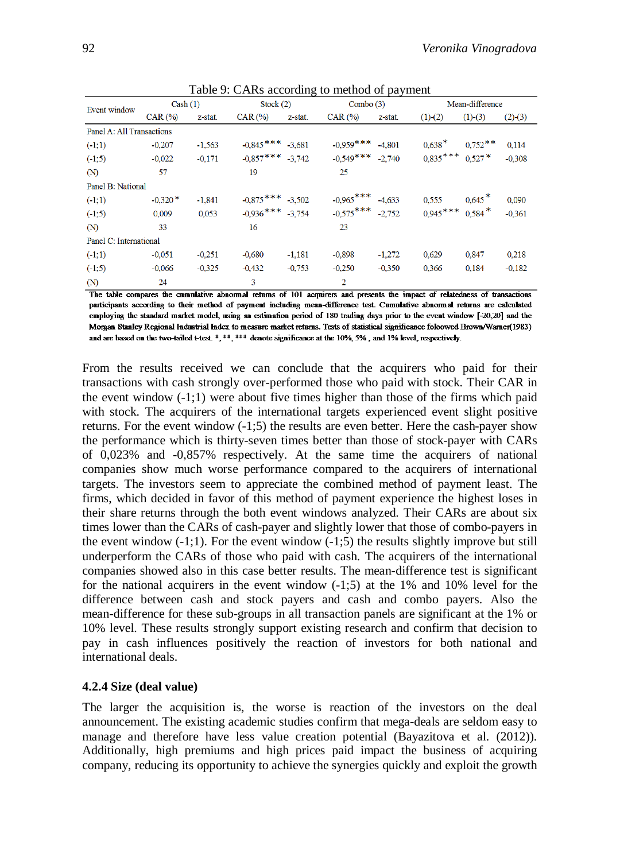|                           |                                  |          |                      | c        |             |          |            |                      |               |
|---------------------------|----------------------------------|----------|----------------------|----------|-------------|----------|------------|----------------------|---------------|
| Event window              | Cash(1)                          |          | Stock $(2)$          |          | Combo $(3)$ |          |            | Mean-difference      |               |
|                           | $CAR$ $\left(\frac{9}{0}\right)$ | z-stat.  | $CAR(\%)$            | z-stat.  | CAR (%)     | z-stat.  | (1) (2)    | $(1)$ - $(3)$        | $(2)$ - $(3)$ |
| Panel A: All Transactions |                                  |          |                      |          |             |          |            |                      |               |
| $(-1;1)$                  | $-0.207$                         | $-1,563$ | $-0.845***$          | $-3.681$ | $-0.959***$ | $-4,801$ | $0,638*$   | $0,752$ **           | 0.114         |
| $(-1;5)$                  | $-0,022$                         | $-0,171$ | $-0.857***$ $-3.742$ |          | $-0,549***$ | $-2.740$ | $0,835***$ | $0,527*$             | $-0,308$      |
| (N)                       | 57                               |          | 19                   |          | 25          |          |            |                      |               |
| Panel B: National         |                                  |          |                      |          |             |          |            |                      |               |
| $(-1;1)$                  | $-0.320*$                        | $-1,841$ | $-0.875***$ $-3.502$ |          | $-0.965***$ | $-4,633$ | 0,555      | $0,645$ <sup>*</sup> | 0,090         |
| $(-1;5)$                  | 0.009                            | 0.053    | $-0,936***$          | $-3.754$ | $-0,575***$ | $-2.752$ | $0.945***$ | $0,584$ <sup>*</sup> | $-0,361$      |
| (M)                       | 33                               |          | 16                   |          | 23          |          |            |                      |               |
| Panel C: International    |                                  |          |                      |          |             |          |            |                      |               |
| $(-1;1)$                  | $-0.051$                         | $-0.251$ | $-0.680$             | $-1,181$ | $-0,898$    | $-1,272$ | 0,629      | 0,847                | 0.218         |
| $(-1;5)$                  | $-0,066$                         | $-0,325$ | $-0.432$             | $-0.753$ | $-0,250$    | $-0.350$ | 0,366      | 0,184                | $-0,182$      |
| (N)                       | 24                               |          | 3                    |          | 2           |          |            |                      |               |

| Table 9: CARs according to method of payment |  |
|----------------------------------------------|--|
|----------------------------------------------|--|

The table compares the cumulative abnormal returns of 101 acquirers and presents the impact of relatedness of transactions participants according to their method of payment including mean-difference test. Cumulative abnormal returns are calculated employing the standard market model, using an estimation period of 180 trading days prior to the event window [-20,20] and the Morgan Stanley Regional Industrial Index to measure market returns. Tests of statistical significance foloowed Brown/Warner(1983) and are based on the two-tailed t-test. \*, \*\*\*, \*\*\* denote significance at the 10%, 5%, and 1% level, respectively.

From the results received we can conclude that the acquirers who paid for their transactions with cash strongly over-performed those who paid with stock. Their CAR in the event window  $(-1,1)$  were about five times higher than those of the firms which paid with stock. The acquirers of the international targets experienced event slight positive returns. For the event window (-1;5) the results are even better. Here the cash-payer show the performance which is thirty-seven times better than those of stock-payer with CARs of 0,023% and -0,857% respectively. At the same time the acquirers of national companies show much worse performance compared to the acquirers of international targets. The investors seem to appreciate the combined method of payment least. The firms, which decided in favor of this method of payment experience the highest loses in their share returns through the both event windows analyzed. Their CARs are about six times lower than the CARs of cash-payer and slightly lower that those of combo-payers in the event window  $(-1;1)$ . For the event window  $(-1;5)$  the results slightly improve but still underperform the CARs of those who paid with cash. The acquirers of the international companies showed also in this case better results. The mean-difference test is significant for the national acquirers in the event window  $(-1,5)$  at the 1% and 10% level for the difference between cash and stock payers and cash and combo payers. Also the mean-difference for these sub-groups in all transaction panels are significant at the 1% or 10% level. These results strongly support existing research and confirm that decision to pay in cash influences positively the reaction of investors for both national and international deals.

### **4.2.4 Size (deal value)**

The larger the acquisition is, the worse is reaction of the investors on the deal announcement. The existing academic studies confirm that mega-deals are seldom easy to manage and therefore have less value creation potential (Bayazitova et al. (2012)). Additionally, high premiums and high prices paid impact the business of acquiring company, reducing its opportunity to achieve the synergies quickly and exploit the growth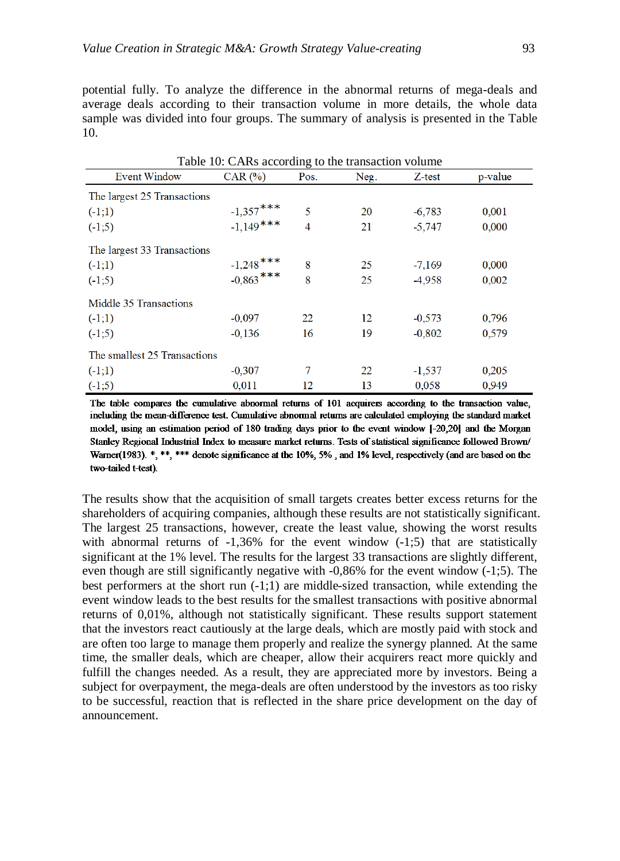potential fully. To analyze the difference in the abnormal returns of mega-deals and average deals according to their transaction volume in more details, the whole data sample was divided into four groups. The summary of analysis is presented in the Table 10.

| Table 10: CARs according to the transaction volume |                                  |      |      |          |         |  |  |  |  |  |
|----------------------------------------------------|----------------------------------|------|------|----------|---------|--|--|--|--|--|
| <b>Event Window</b>                                | $CAR$ $\left(\frac{0}{0}\right)$ | Pos. | Neg. | Z-test   | p-value |  |  |  |  |  |
| The largest 25 Transactions                        |                                  |      |      |          |         |  |  |  |  |  |
| (1,1)                                              | $-1,357$ ***<br>$-1,149$ ***     | 5    | 20   | $-6,783$ | 0,001   |  |  |  |  |  |
| $(-1;5)$                                           |                                  | 4    | 21   | $-5.747$ | 0.000   |  |  |  |  |  |
| The largest 33 Transactions                        |                                  |      |      |          |         |  |  |  |  |  |
| $(-1;1)$                                           | $-1,248$ ***<br>$-0,863$ ***     | 8    | 25   | $-7,169$ | 0,000   |  |  |  |  |  |
| $(-1,5)$                                           |                                  | 8    | 25   | -4,958   | 0,002   |  |  |  |  |  |
| Middle 35 Transactions                             |                                  |      |      |          |         |  |  |  |  |  |
| $(-1;1)$                                           | $-0.097$                         | 22   | 12   | $-0.573$ | 0,796   |  |  |  |  |  |
| $(-1,5)$                                           | $-0.136$                         | 16   | 19   | $-0.802$ | 0,579   |  |  |  |  |  |
| The smallest 25 Transactions                       |                                  |      |      |          |         |  |  |  |  |  |
| $(-1;1)$                                           | $-0.307$                         | 7    | 22   | $-1,537$ | 0,205   |  |  |  |  |  |
| $(-1;5)$                                           | 0.011                            | 12   | 13   | 0.058    | 0.949   |  |  |  |  |  |

The table compares the cumulative abnormal returns of 101 acquirers according to the transaction value, including the mean-difference test. Cumulative abnormal returns are calculated employing the standard market model, using an estimation period of 180 trading days prior to the event window [-20,20] and the Morgan Stanley Regional Industrial Index to measure market returns. Tests of statistical significance followed Brown/ Warner(1983).  $*$ ,  $**$ ,  $***$  denote significance at the 10%, 5%, and 1% level, respectively (and are based on the two-tailed t-test).

The results show that the acquisition of small targets creates better excess returns for the shareholders of acquiring companies, although these results are not statistically significant. The largest 25 transactions, however, create the least value, showing the worst results with abnormal returns of  $-1,36\%$  for the event window  $(-1,5)$  that are statistically significant at the 1% level. The results for the largest 33 transactions are slightly different, even though are still significantly negative with -0,86% for the event window (-1;5). The best performers at the short run  $(-1,1)$  are middle-sized transaction, while extending the event window leads to the best results for the smallest transactions with positive abnormal returns of 0,01%, although not statistically significant. These results support statement that the investors react cautiously at the large deals, which are mostly paid with stock and are often too large to manage them properly and realize the synergy planned. At the same time, the smaller deals, which are cheaper, allow their acquirers react more quickly and fulfill the changes needed. As a result, they are appreciated more by investors. Being a subject for overpayment, the mega-deals are often understood by the investors as too risky to be successful, reaction that is reflected in the share price development on the day of announcement.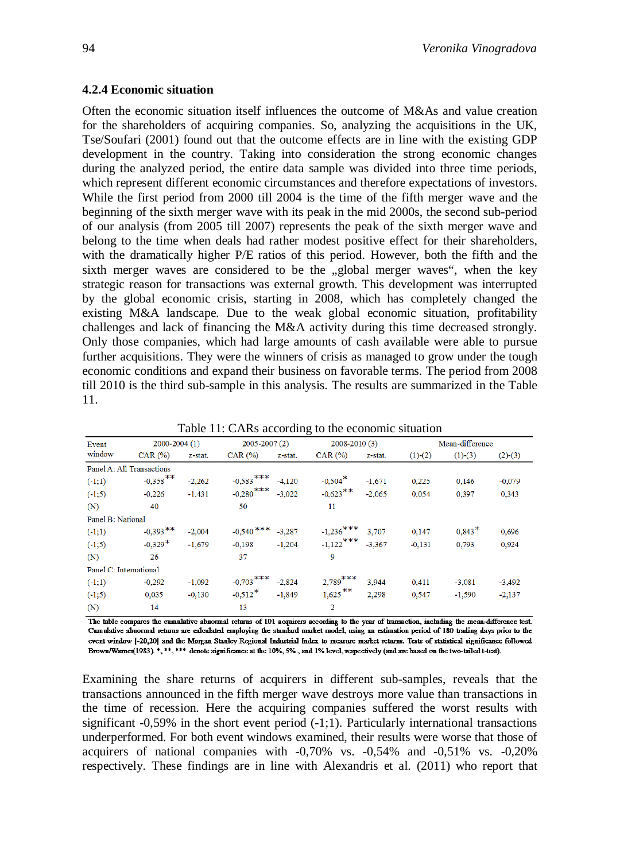#### **4.2.4 Economic situation**

Often the economic situation itself influences the outcome of M&As and value creation for the shareholders of acquiring companies. So, analyzing the acquisitions in the UK, Tse/Soufari (2001) found out that the outcome effects are in line with the existing GDP development in the country. Taking into consideration the strong economic changes during the analyzed period, the entire data sample was divided into three time periods, which represent different economic circumstances and therefore expectations of investors. While the first period from 2000 till 2004 is the time of the fifth merger wave and the beginning of the sixth merger wave with its peak in the mid 2000s, the second sub-period of our analysis (from 2005 till 2007) represents the peak of the sixth merger wave and belong to the time when deals had rather modest positive effect for their shareholders, with the dramatically higher P/E ratios of this period. However, both the fifth and the sixth merger waves are considered to be the "global merger waves", when the key strategic reason for transactions was external growth. This development was interrupted by the global economic crisis, starting in 2008, which has completely changed the existing M&A landscape. Due to the weak global economic situation, profitability challenges and lack of financing the M&A activity during this time decreased strongly. Only those companies, which had large amounts of cash available were able to pursue further acquisitions. They were the winners of crisis as managed to grow under the tough economic conditions and expand their business on favorable terms. The period from 2008 till 2010 is the third sub-sample in this analysis. The results are summarized in the Table 11.

| Event                     | $2000 - 2004(1)$                 |          | $2005 - 2007(2)$                 |          | 2008-2010 (3)         |          |                          | Mean-difference |               |
|---------------------------|----------------------------------|----------|----------------------------------|----------|-----------------------|----------|--------------------------|-----------------|---------------|
| window                    | $CAR$ $\left(\frac{9}{6}\right)$ | z-stat.  | $CAR$ $\left(\frac{9}{6}\right)$ | z-stat.  | CAR (%)               | z-stat.  | $(1)$ <sup>-</sup> $(2)$ | $(1)$ - $(3)$   | $(2)$ - $(3)$ |
| Panel A: All Transactions |                                  |          |                                  |          |                       |          |                          |                 |               |
| $(-1;1)$                  | $-0,358$ **                      | $-2,262$ | $-0,583$ ***                     | $-4,120$ | $-0,504$ <sup>*</sup> | $-1.671$ | 0,225                    | 0,146           | $-0,079$      |
| $(-1;5)$                  | $-0.226$                         | $-1,431$ | $-0,280$ ***                     | $-3,022$ | $-0.623$ **           | $-2,065$ | 0.054                    | 0.397           | 0.343         |
| (N)                       | 40                               |          | 50                               |          | 11                    |          |                          |                 |               |
| Panel B: National         |                                  |          |                                  |          |                       |          |                          |                 |               |
| $(-1;1)$                  | $-0,393$ **                      | $-2.004$ | $-0,540$ ***                     | $-3.287$ | $-1,236$ ***          | 3.707    | 0.147                    | $0.843*$        | 0,696         |
| $(-1;5)$                  | $-0,329*$                        | $-1.679$ | $-0.198$                         | $-1,204$ | $-1,122$ ***          | $-3.367$ | $-0,131$                 | 0.793           | 0,924         |
| (N)                       | 26                               |          | 37                               |          | 9                     |          |                          |                 |               |
| Panel C: International    |                                  |          |                                  |          |                       |          |                          |                 |               |
| $(-1;1)$                  | $-0.292$                         | $-1.092$ | $-0,703$ ***                     | $-2,824$ | $2,789$ ***           | 3,944    | 0.411                    | $-3,081$        | $-3,492$      |
| $(-1;5)$                  | 0,035                            | $-0.130$ | $-0,512$ <sup>*</sup>            | $-1,849$ | $1,625$ **            | 2,298    | 0.547                    | $-1,590$        | $-2,137$      |
| (N)                       | 14                               |          | 13                               |          | $\overline{2}$        |          |                          |                 |               |

Table 11: CARs according to the economic situation

The table compares the cumulative abnormal returns of 101 acquirers according to the year of transaction, including the mean-difference test. Cumulative abnormal returns are calculated employing the standard market model, using an estimation period of 180 trading days prior to the event window [-20,20] and the Morgan Stanley Regional Industrial Index to measure market returns. Tests of statistical significance followed Brown/Warner(1983). \*, \*\*, \*\*\* denote significance at the 10%, 5%, and 1% level, respectively (and are based on the two-tailed t-test).

Examining the share returns of acquirers in different sub-samples, reveals that the transactions announced in the fifth merger wave destroys more value than transactions in the time of recession. Here the acquiring companies suffered the worst results with significant  $-0.59\%$  in the short event period  $(-1,1)$ . Particularly international transactions underperformed. For both event windows examined, their results were worse that those of acquirers of national companies with -0,70% vs. -0,54% and -0,51% vs. -0,20% respectively. These findings are in line with Alexandris et al. (2011) who report that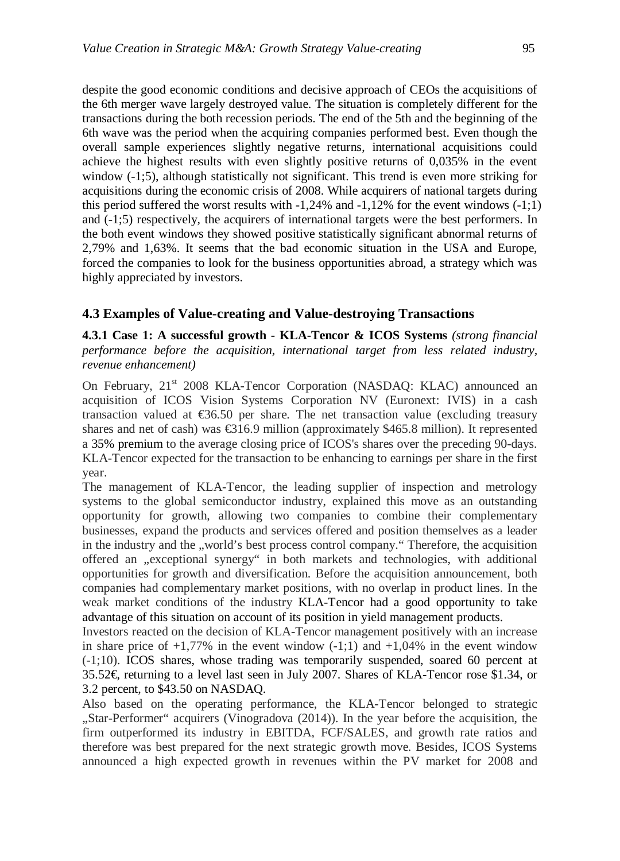despite the good economic conditions and decisive approach of CEOs the acquisitions of the 6th merger wave largely destroyed value. The situation is completely different for the transactions during the both recession periods. The end of the 5th and the beginning of the 6th wave was the period when the acquiring companies performed best. Even though the overall sample experiences slightly negative returns, international acquisitions could achieve the highest results with even slightly positive returns of 0,035% in the event window (-1;5), although statistically not significant. This trend is even more striking for acquisitions during the economic crisis of 2008. While acquirers of national targets during this period suffered the worst results with  $-1,24\%$  and  $-1,12\%$  for the event windows  $(-1,1)$ and (-1;5) respectively, the acquirers of international targets were the best performers. In the both event windows they showed positive statistically significant abnormal returns of 2,79% and 1,63%. It seems that the bad economic situation in the USA and Europe, forced the companies to look for the business opportunities abroad, a strategy which was highly appreciated by investors.

## **4.3 Examples of Value-creating and Value-destroying Transactions**

**4.3.1 Case 1: A successful growth - KLA-Tencor & ICOS Systems** *(strong financial performance before the acquisition, international target from less related industry, revenue enhancement)*

On February, 21<sup>st</sup> 2008 KLA-Tencor Corporation (NASDAQ: KLAC) announced an acquisition of ICOS Vision Systems Corporation NV (Euronext: IVIS) in a cash transaction valued at  $$6.50$  per share. The net transaction value (excluding treasury shares and net of cash) was €316.9 million (approximately \$465.8 million). It represented a 35% premium to the average closing price of ICOS's shares over the preceding 90-days. KLA-Tencor expected for the transaction to be enhancing to earnings per share in the first year.

The management of KLA-Tencor, the leading supplier of inspection and metrology systems to the global semiconductor industry, explained this move as an outstanding opportunity for growth, allowing two companies to combine their complementary businesses, expand the products and services offered and position themselves as a leader in the industry and the "world's best process control company." Therefore, the acquisition offered an "exceptional synergy" in both markets and technologies, with additional opportunities for growth and diversification. Before the acquisition announcement, both companies had complementary market positions, with no overlap in product lines. In the weak market conditions of the industry KLA-Tencor had a good opportunity to take advantage of this situation on account of its position in yield management products.

Investors reacted on the decision of KLA-Tencor management positively with an increase in share price of  $+1,77\%$  in the event window  $(-1,1)$  and  $+1,04\%$  in the event window (-1;10). ICOS shares, whose trading was temporarily suspended, soared 60 percent at 35.52€, returning to a level last seen in July 2007. Shares of KLA-Tencor rose \$1.34, or 3.2 percent, to \$43.50 on NASDAQ.

Also based on the operating performance, the KLA-Tencor belonged to strategic "Star-Performer" acquirers (Vinogradova (2014)). In the year before the acquisition, the firm outperformed its industry in EBITDA, FCF/SALES, and growth rate ratios and therefore was best prepared for the next strategic growth move. Besides, ICOS Systems announced a high expected growth in revenues within the PV market for 2008 and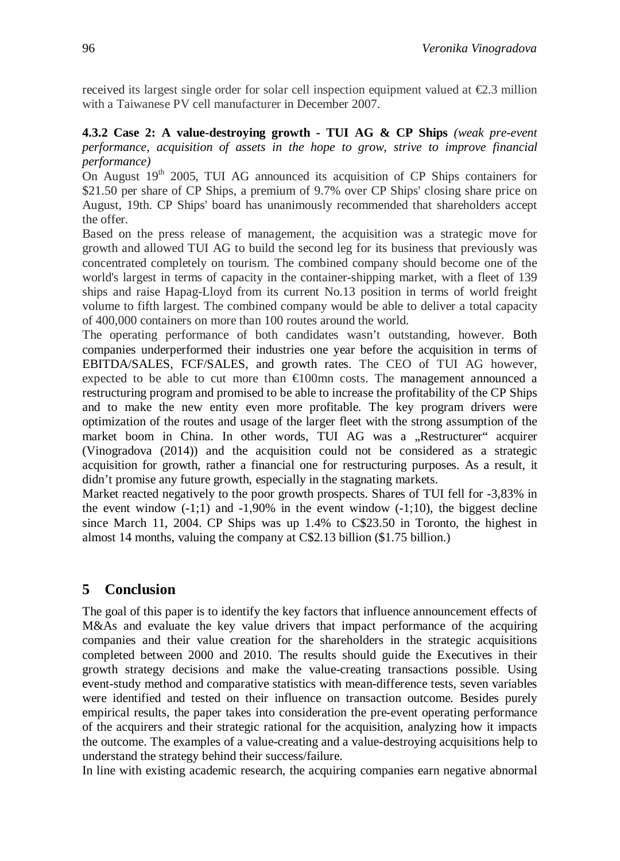received its largest single order for solar cell inspection equipment valued at  $\epsilon 2.3$  million with a Taiwanese PV cell manufacturer in December 2007.

**4.3.2 Case 2: A value-destroying growth - TUI AG & CP Ships** *(weak pre-event performance, acquisition of assets in the hope to grow, strive to improve financial performance)*

On August  $19<sup>th</sup>$  2005, TUI AG announced its acquisition of CP Ships containers for \$21.50 per share of CP Ships, a premium of 9.7% over CP Ships' closing share price on August, 19th. CP Ships' board has unanimously recommended that shareholders accept the offer.

Based on the press release of management, the acquisition was a strategic move for growth and allowed TUI AG to build the second leg for its business that previously was concentrated completely on tourism. The combined company should become one of the world's largest in terms of capacity in the container-shipping market, with a fleet of 139 ships and raise Hapag-Lloyd from its current No.13 position in terms of world freight volume to fifth largest. The combined company would be able to deliver a total capacity of 400,000 containers on more than 100 routes around the world.

The operating performance of both candidates wasn't outstanding, however. Both companies underperformed their industries one year before the acquisition in terms of EBITDA/SALES, FCF/SALES, and growth rates. The CEO of TUI AG however, expected to be able to cut more than €100mn costs. The management announced a restructuring program and promised to be able to increase the profitability of the CP Ships and to make the new entity even more profitable. The key program drivers were optimization of the routes and usage of the larger fleet with the strong assumption of the market boom in China. In other words, TUI AG was a "Restructurer" acquirer (Vinogradova (2014)) and the acquisition could not be considered as a strategic acquisition for growth, rather a financial one for restructuring purposes. As a result, it didn't promise any future growth, especially in the stagnating markets.

Market reacted negatively to the poor growth prospects. Shares of TUI fell for -3,83% in the event window  $(-1;1)$  and  $-1,90\%$  in the event window  $(-1;10)$ , the biggest decline since March 11, 2004. CP Ships was up 1.4% to C\$23.50 in Toronto, the highest in almost 14 months, valuing the company at C\$2.13 billion (\$1.75 billion.)

# **5 Conclusion**

The goal of this paper is to identify the key factors that influence announcement effects of M&As and evaluate the key value drivers that impact performance of the acquiring companies and their value creation for the shareholders in the strategic acquisitions completed between 2000 and 2010. The results should guide the Executives in their growth strategy decisions and make the value-creating transactions possible. Using event-study method and comparative statistics with mean-difference tests, seven variables were identified and tested on their influence on transaction outcome. Besides purely empirical results, the paper takes into consideration the pre-event operating performance of the acquirers and their strategic rational for the acquisition, analyzing how it impacts the outcome. The examples of a value-creating and a value-destroying acquisitions help to understand the strategy behind their success/failure.

In line with existing academic research, the acquiring companies earn negative abnormal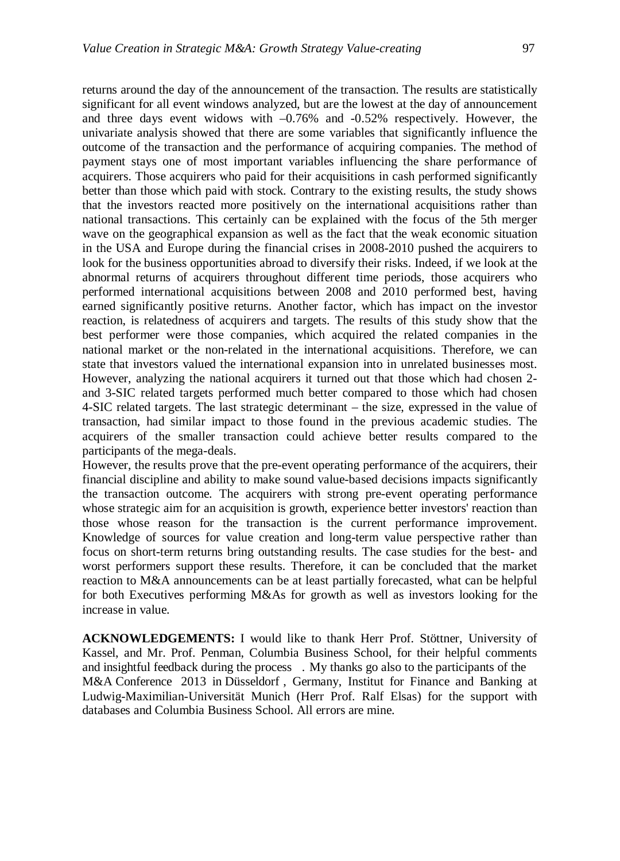returns around the day of the announcement of the transaction. The results are statistically significant for all event windows analyzed, but are the lowest at the day of announcement and three days event widows with –0.76% and -0.52% respectively. However, the univariate analysis showed that there are some variables that significantly influence the outcome of the transaction and the performance of acquiring companies. The method of payment stays one of most important variables influencing the share performance of acquirers. Those acquirers who paid for their acquisitions in cash performed significantly better than those which paid with stock. Contrary to the existing results, the study shows that the investors reacted more positively on the international acquisitions rather than national transactions. This certainly can be explained with the focus of the 5th merger wave on the geographical expansion as well as the fact that the weak economic situation in the USA and Europe during the financial crises in 2008-2010 pushed the acquirers to look for the business opportunities abroad to diversify their risks. Indeed, if we look at the abnormal returns of acquirers throughout different time periods, those acquirers who performed international acquisitions between 2008 and 2010 performed best, having earned significantly positive returns. Another factor, which has impact on the investor reaction, is relatedness of acquirers and targets. The results of this study show that the best performer were those companies, which acquired the related companies in the national market or the non-related in the international acquisitions. Therefore, we can state that investors valued the international expansion into in unrelated businesses most. However, analyzing the national acquirers it turned out that those which had chosen 2 and 3-SIC related targets performed much better compared to those which had chosen 4-SIC related targets. The last strategic determinant – the size, expressed in the value of transaction, had similar impact to those found in the previous academic studies. The acquirers of the smaller transaction could achieve better results compared to the participants of the mega-deals.

However, the results prove that the pre-event operating performance of the acquirers, their financial discipline and ability to make sound value-based decisions impacts significantly the transaction outcome. The acquirers with strong pre-event operating performance whose strategic aim for an acquisition is growth, experience better investors' reaction than those whose reason for the transaction is the current performance improvement. Knowledge of sources for value creation and long-term value perspective rather than focus on short-term returns bring outstanding results. The case studies for the best- and worst performers support these results. Therefore, it can be concluded that the market reaction to M&A announcements can be at least partially forecasted, what can be helpful for both Executives performing M&As for growth as well as investors looking for the increase in value.

**ACKNOWLEDGEMENTS:** I would like to thank Herr Prof. Stöttner, University of Kassel, and Mr. Prof. Penman, Columbia Business School, for their helpful comments and insightful feedback during the process . My thanks go also to the participants of the M&A Conference 2013 in Düsseldorf , Germany, Institut for Finance and Banking at Ludwig-Maximilian-Universität Munich (Herr Prof. Ralf Elsas) for the support with databases and Columbia Business School. All errors are mine.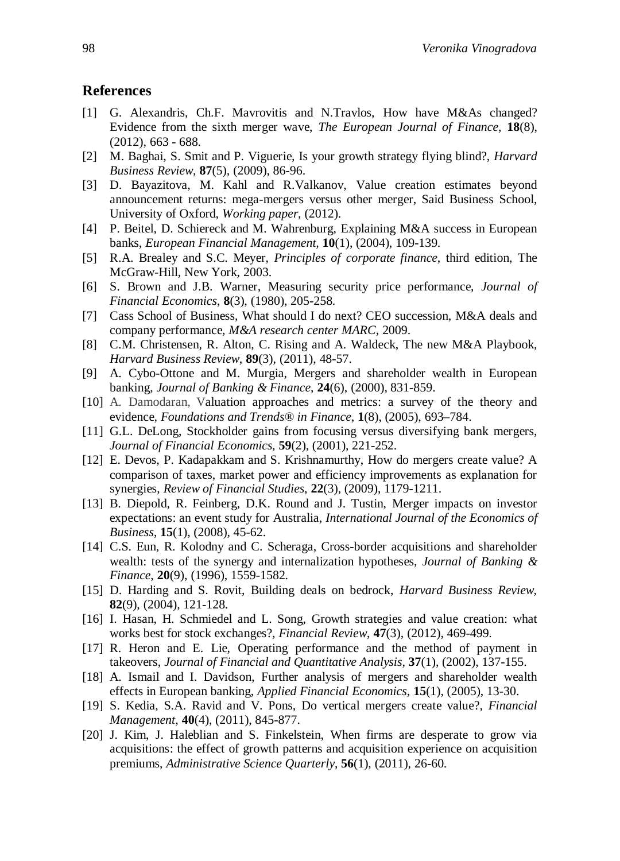## **References**

- [1] G. Alexandris, Ch.F. Mavrovitis and N.Travlos, How have M&As changed? Evidence from the sixth merger wave, *The European Journal of Finance*, **18**(8), (2012), 663 - 688.
- [2] M. Baghai, S. Smit and P. Viguerie, Is your growth strategy flying blind?, *Harvard Business Review,* **87**(5), (2009), 86-96.
- [3] D. Bayazitova, M. Kahl and R.Valkanov, Value creation estimates beyond announcement returns: mega-mergers versus other merger, Said Business School, University of Oxford, *Working paper,* (2012).
- [4] P. Beitel, D. Schiereck and M. Wahrenburg, Explaining M&A success in European banks, *European Financial Management,* **10**(1), (2004), 109-139.
- [5] R.A. Brealey and S.C. Meyer, *Principles of corporate finance*, third edition, The McGraw-Hill, New York, 2003.
- [6] S. Brown and J.B. Warner*,* Measuring security price performance, *Journal of Financial Economics*, **8**(3), (1980), 205-258.
- [7] Cass School of Business, What should I do next? CEO succession, M&A deals and company performance, *M&A research center MARC*, 2009.
- [8] C.M. Christensen, R. Alton, C. Rising and A. Waldeck, The new M&A Playbook, *Harvard Business Review*, **89**(3), (2011), 48-57.
- [9] A. Cybo-Ottone and M. Murgia, Mergers and shareholder wealth in European banking, *Journal of Banking & Finance*, **24**(6), (2000), 831-859.
- [10] A. Damodaran*,* Valuation approaches and metrics: a survey of the theory and evidence, *Foundations and Trends® in Finance*, **1**(8), (2005), 693–784.
- [11] G.L. DeLong, Stockholder gains from focusing versus diversifying bank mergers, *Journal of Financial Economics*, **59**(2), (2001), 221-252.
- [12] E. Devos, P. Kadapakkam and S. Krishnamurthy, How do mergers create value? A comparison of taxes, market power and efficiency improvements as explanation for synergies, *Review of Financial Studies*, **22**(3), (2009), 1179-1211.
- [13] B. Diepold, R. Feinberg, D.K. Round and J. Tustin, Merger impacts on investor expectations: an event study for Australia, *International Journal of the Economics of Business*, **15**(1), (2008), 45-62.
- [14] C.S. Eun, R. Kolodny and C. Scheraga, Cross-border acquisitions and shareholder wealth: tests of the synergy and internalization hypotheses, *Journal of Banking & Finance*, **20**(9), (1996), 1559-1582.
- [15] D. Harding and S. Rovit, Building deals on bedrock, *Harvard Business Review*, **82**(9), (2004), 121-128.
- [16] I. Hasan, H. Schmiedel and L. Song, Growth strategies and value creation: what works best for stock exchanges?, *Financial Review*, **47**(3), (2012), 469-499.
- [17] R. Heron and E. Lie, Operating performance and the method of payment in takeovers, *Journal of Financial and Quantitative Analysis*, **37**(1), (2002), 137-155.
- [18] A. Ismail and I. Davidson*,* Further analysis of mergers and shareholder wealth effects in European banking, *Applied Financial Economics*, **15**(1), (2005), 13-30.
- [19] S. Kedia, S.A. Ravid and V. Pons, Do vertical mergers create value?, *Financial Management*, **40**(4), (2011), 845-877.
- [20] J. Kim, J. Haleblian and S. Finkelstein, When firms are desperate to grow via acquisitions: the effect of growth patterns and acquisition experience on acquisition premiums, *Administrative Science Quarterly*, **56**(1), (2011), 26-60.